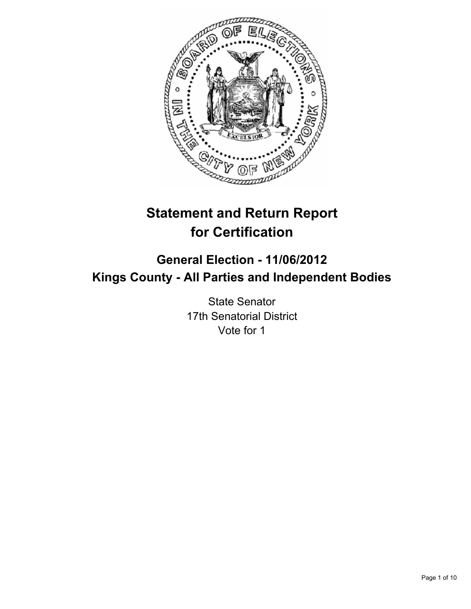

# **Statement and Return Report for Certification**

## **General Election - 11/06/2012 Kings County - All Parties and Independent Bodies**

State Senator 17th Senatorial District Vote for 1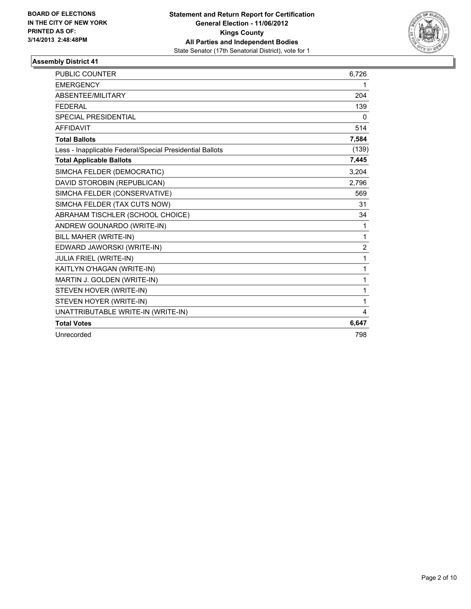

| <b>PUBLIC COUNTER</b>                                    | 6,726 |
|----------------------------------------------------------|-------|
| <b>EMERGENCY</b>                                         | 1     |
| <b>ABSENTEE/MILITARY</b>                                 | 204   |
| <b>FFDFRAL</b>                                           | 139   |
| <b>SPECIAL PRESIDENTIAL</b>                              | 0     |
| <b>AFFIDAVIT</b>                                         | 514   |
| <b>Total Ballots</b>                                     | 7,584 |
| Less - Inapplicable Federal/Special Presidential Ballots | (139) |
| <b>Total Applicable Ballots</b>                          | 7,445 |
| SIMCHA FELDER (DEMOCRATIC)                               | 3,204 |
| DAVID STOROBIN (REPUBLICAN)                              | 2,796 |
| SIMCHA FELDER (CONSERVATIVE)                             | 569   |
| SIMCHA FELDER (TAX CUTS NOW)                             | 31    |
| ABRAHAM TISCHLER (SCHOOL CHOICE)                         | 34    |
| ANDREW GOUNARDO (WRITE-IN)                               | 1     |
| BILL MAHER (WRITE-IN)                                    | 1     |
| EDWARD JAWORSKI (WRITE-IN)                               | 2     |
| <b>JULIA FRIEL (WRITE-IN)</b>                            | 1     |
| KAITLYN O'HAGAN (WRITE-IN)                               | 1     |
| MARTIN J. GOLDEN (WRITE-IN)                              | 1     |
| STEVEN HOVER (WRITE-IN)                                  | 1     |
| STEVEN HOYER (WRITE-IN)                                  | 1     |
| UNATTRIBUTABLE WRITE-IN (WRITE-IN)                       | 4     |
| <b>Total Votes</b>                                       | 6,647 |
| Unrecorded                                               | 798   |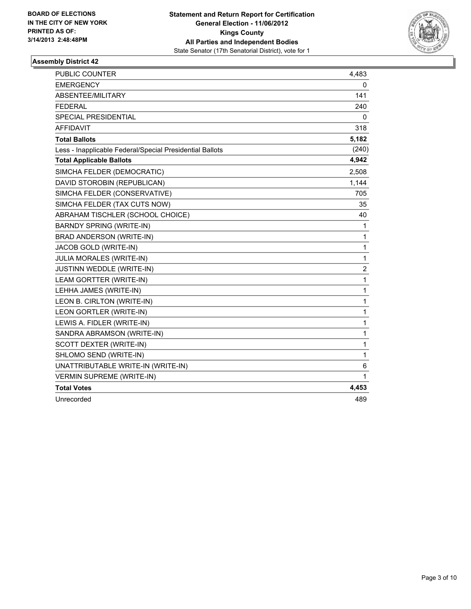

| <b>PUBLIC COUNTER</b>                                    | 4,483                   |
|----------------------------------------------------------|-------------------------|
| <b>EMERGENCY</b>                                         | 0                       |
| ABSENTEE/MILITARY                                        | 141                     |
| <b>FEDERAL</b>                                           | 240                     |
| SPECIAL PRESIDENTIAL                                     | 0                       |
| <b>AFFIDAVIT</b>                                         | 318                     |
| <b>Total Ballots</b>                                     | 5,182                   |
| Less - Inapplicable Federal/Special Presidential Ballots | (240)                   |
| <b>Total Applicable Ballots</b>                          | 4,942                   |
| SIMCHA FELDER (DEMOCRATIC)                               | 2,508                   |
| DAVID STOROBIN (REPUBLICAN)                              | 1,144                   |
| SIMCHA FELDER (CONSERVATIVE)                             | 705                     |
| SIMCHA FELDER (TAX CUTS NOW)                             | 35                      |
| ABRAHAM TISCHLER (SCHOOL CHOICE)                         | 40                      |
| <b>BARNDY SPRING (WRITE-IN)</b>                          | 1                       |
| BRAD ANDERSON (WRITE-IN)                                 | 1                       |
| JACOB GOLD (WRITE-IN)                                    | 1                       |
| <b>JULIA MORALES (WRITE-IN)</b>                          | 1                       |
| JUSTINN WEDDLE (WRITE-IN)                                | $\overline{\mathbf{c}}$ |
| LEAM GORTTER (WRITE-IN)                                  | 1                       |
| LEHHA JAMES (WRITE-IN)                                   | 1                       |
| LEON B. CIRLTON (WRITE-IN)                               | 1                       |
| LEON GORTLER (WRITE-IN)                                  | 1                       |
| LEWIS A. FIDLER (WRITE-IN)                               | 1                       |
| SANDRA ABRAMSON (WRITE-IN)                               | 1                       |
| SCOTT DEXTER (WRITE-IN)                                  | 1                       |
| SHLOMO SEND (WRITE-IN)                                   | 1                       |
| UNATTRIBUTABLE WRITE-IN (WRITE-IN)                       | 6                       |
| <b>VERMIN SUPREME (WRITE-IN)</b>                         | 1                       |
| <b>Total Votes</b>                                       | 4,453                   |
| Unrecorded                                               | 489                     |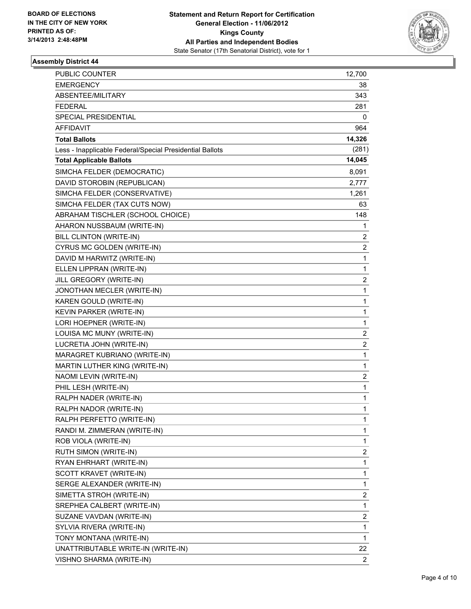

| <b>PUBLIC COUNTER</b>                                    | 12,700         |
|----------------------------------------------------------|----------------|
| <b>EMERGENCY</b>                                         | 38             |
| ABSENTEE/MILITARY                                        | 343            |
| <b>FEDERAL</b>                                           | 281            |
| SPECIAL PRESIDENTIAL                                     | 0              |
| <b>AFFIDAVIT</b>                                         | 964            |
| <b>Total Ballots</b>                                     | 14,326         |
| Less - Inapplicable Federal/Special Presidential Ballots | (281)          |
| <b>Total Applicable Ballots</b>                          | 14,045         |
| SIMCHA FELDER (DEMOCRATIC)                               | 8,091          |
| DAVID STOROBIN (REPUBLICAN)                              | 2,777          |
| SIMCHA FELDER (CONSERVATIVE)                             | 1,261          |
| SIMCHA FELDER (TAX CUTS NOW)                             | 63             |
| ABRAHAM TISCHLER (SCHOOL CHOICE)                         | 148            |
| AHARON NUSSBAUM (WRITE-IN)                               | 1              |
| <b>BILL CLINTON (WRITE-IN)</b>                           | 2              |
| CYRUS MC GOLDEN (WRITE-IN)                               | 2              |
| DAVID M HARWITZ (WRITE-IN)                               | 1              |
| ELLEN LIPPRAN (WRITE-IN)                                 | 1              |
| JILL GREGORY (WRITE-IN)                                  | 2              |
| JONOTHAN MECLER (WRITE-IN)                               | 1              |
| KAREN GOULD (WRITE-IN)                                   | 1              |
| KEVIN PARKER (WRITE-IN)                                  | 1              |
| LORI HOEPNER (WRITE-IN)                                  | 1              |
| LOUISA MC MUNY (WRITE-IN)                                | 2              |
| LUCRETIA JOHN (WRITE-IN)                                 | 2              |
| MARAGRET KUBRIANO (WRITE-IN)                             | 1              |
| MARTIN LUTHER KING (WRITE-IN)                            | 1              |
| NAOMI LEVIN (WRITE-IN)                                   | 2              |
| PHIL LESH (WRITE-IN)                                     | 1              |
| RALPH NADER (WRITE-IN)                                   | 1              |
| RALPH NADOR (WRITE-IN)                                   | 1              |
| RALPH PERFETTO (WRITE-IN)                                | 1              |
| RANDI M. ZIMMERAN (WRITE-IN)                             | 1              |
| ROB VIOLA (WRITE-IN)                                     | 1              |
| RUTH SIMON (WRITE-IN)                                    | 2              |
| RYAN EHRHART (WRITE-IN)                                  | 1              |
| SCOTT KRAVET (WRITE-IN)                                  | 1              |
| SERGE ALEXANDER (WRITE-IN)                               | 1              |
| SIMETTA STROH (WRITE-IN)                                 | 2              |
| SREPHEA CALBERT (WRITE-IN)                               | 1              |
| SUZANE VAVDAN (WRITE-IN)                                 | 2              |
| SYLVIA RIVERA (WRITE-IN)                                 | 1              |
| TONY MONTANA (WRITE-IN)                                  | 1              |
| UNATTRIBUTABLE WRITE-IN (WRITE-IN)                       | 22             |
| VISHNO SHARMA (WRITE-IN)                                 | $\overline{2}$ |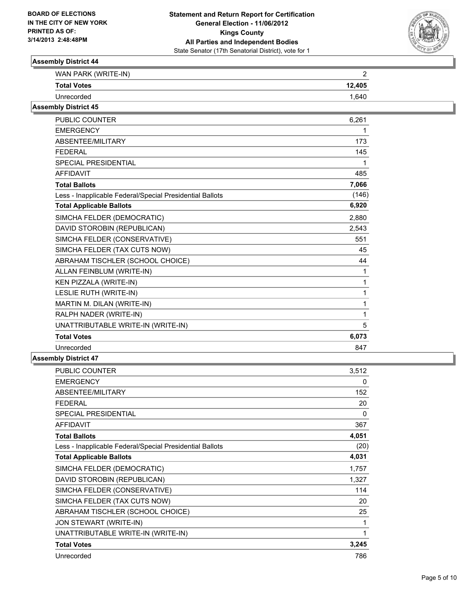

| WAN PARK (WRITE-IN) |        |
|---------------------|--------|
| <b>Total Votes</b>  | 12,405 |
| Unrecorded          | 1 640  |

#### **Assembly District 45**

| <b>PUBLIC COUNTER</b>                                    | 6,261        |
|----------------------------------------------------------|--------------|
| <b>EMERGENCY</b>                                         | 1            |
| ABSENTEE/MILITARY                                        | 173          |
| <b>FEDERAL</b>                                           | 145          |
| <b>SPECIAL PRESIDENTIAL</b>                              | 1            |
| <b>AFFIDAVIT</b>                                         | 485          |
| <b>Total Ballots</b>                                     | 7,066        |
| Less - Inapplicable Federal/Special Presidential Ballots | (146)        |
| <b>Total Applicable Ballots</b>                          | 6,920        |
| SIMCHA FELDER (DEMOCRATIC)                               | 2,880        |
| DAVID STOROBIN (REPUBLICAN)                              | 2,543        |
| SIMCHA FELDER (CONSERVATIVE)                             | 551          |
| SIMCHA FELDER (TAX CUTS NOW)                             | 45           |
| ABRAHAM TISCHLER (SCHOOL CHOICE)                         | 44           |
| ALLAN FEINBLUM (WRITE-IN)                                | 1            |
| KEN PIZZALA (WRITE-IN)                                   | $\mathbf{1}$ |
| LESLIE RUTH (WRITE-IN)                                   | 1            |
| MARTIN M. DILAN (WRITE-IN)                               | 1            |
| RALPH NADER (WRITE-IN)                                   | 1            |
| UNATTRIBUTABLE WRITE-IN (WRITE-IN)                       | 5            |
| <b>Total Votes</b>                                       | 6,073        |
| Unrecorded                                               | 847          |

| <b>PUBLIC COUNTER</b>                                    | 3,512 |
|----------------------------------------------------------|-------|
| <b>EMERGENCY</b>                                         | 0     |
| ABSENTEE/MILITARY                                        | 152   |
| FEDERAL                                                  | 20    |
| SPECIAL PRESIDENTIAL                                     | 0     |
| <b>AFFIDAVIT</b>                                         | 367   |
| <b>Total Ballots</b>                                     | 4,051 |
| Less - Inapplicable Federal/Special Presidential Ballots | (20)  |
| <b>Total Applicable Ballots</b>                          | 4,031 |
| SIMCHA FELDER (DEMOCRATIC)                               | 1,757 |
| DAVID STOROBIN (REPUBLICAN)                              | 1,327 |
| SIMCHA FELDER (CONSERVATIVE)                             | 114   |
| SIMCHA FELDER (TAX CUTS NOW)                             | 20    |
| ABRAHAM TISCHLER (SCHOOL CHOICE)                         | 25    |
| JON STEWART (WRITE-IN)                                   | 1     |
| UNATTRIBUTABLE WRITE-IN (WRITE-IN)                       | 1     |
| <b>Total Votes</b>                                       | 3,245 |
| Unrecorded                                               | 786   |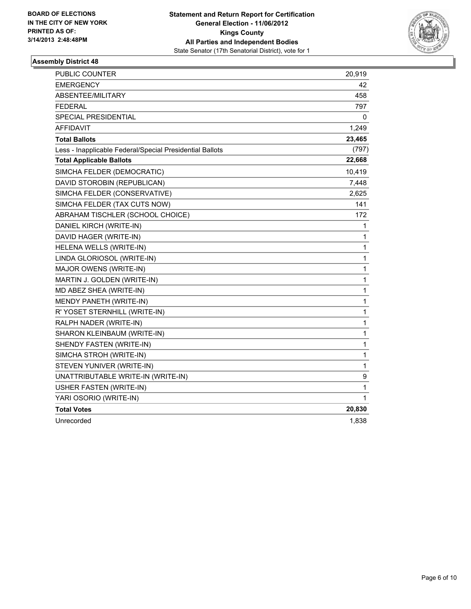

| PUBLIC COUNTER                                           | 20,919 |
|----------------------------------------------------------|--------|
| EMERGENCY                                                | 42     |
| <b>ABSENTEE/MILITARY</b>                                 | 458    |
| FEDERAL                                                  | 797    |
| SPECIAL PRESIDENTIAL                                     | 0      |
| <b>AFFIDAVIT</b>                                         | 1,249  |
| <b>Total Ballots</b>                                     | 23,465 |
| Less - Inapplicable Federal/Special Presidential Ballots | (797)  |
| <b>Total Applicable Ballots</b>                          | 22,668 |
| SIMCHA FELDER (DEMOCRATIC)                               | 10,419 |
| DAVID STOROBIN (REPUBLICAN)                              | 7,448  |
| SIMCHA FELDER (CONSERVATIVE)                             | 2,625  |
| SIMCHA FELDER (TAX CUTS NOW)                             | 141    |
| ABRAHAM TISCHLER (SCHOOL CHOICE)                         | 172    |
| DANIEL KIRCH (WRITE-IN)                                  | 1      |
| DAVID HAGER (WRITE-IN)                                   | 1      |
| HELENA WELLS (WRITE-IN)                                  | 1      |
| LINDA GLORIOSOL (WRITE-IN)                               | 1      |
| MAJOR OWENS (WRITE-IN)                                   | 1      |
| MARTIN J. GOLDEN (WRITE-IN)                              | 1      |
| MD ABEZ SHEA (WRITE-IN)                                  | 1      |
| MENDY PANETH (WRITE-IN)                                  | 1      |
| R' YOSET STERNHILL (WRITE-IN)                            | 1      |
| RALPH NADER (WRITE-IN)                                   | 1      |
| SHARON KLEINBAUM (WRITE-IN)                              | 1      |
| SHENDY FASTEN (WRITE-IN)                                 | 1      |
| SIMCHA STROH (WRITE-IN)                                  | 1      |
| STEVEN YUNIVER (WRITE-IN)                                | 1      |
| UNATTRIBUTABLE WRITE-IN (WRITE-IN)                       | 9      |
| USHER FASTEN (WRITE-IN)                                  | 1      |
| YARI OSORIO (WRITE-IN)                                   | 1      |
| <b>Total Votes</b>                                       | 20,830 |
| Unrecorded                                               | 1,838  |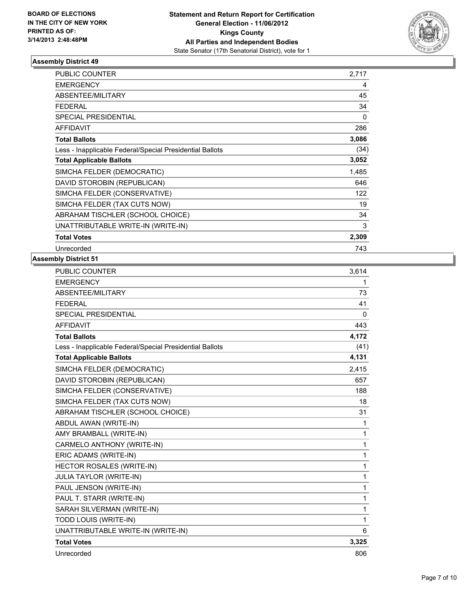

| <b>PUBLIC COUNTER</b>                                    | 2,717 |
|----------------------------------------------------------|-------|
| <b>EMERGENCY</b>                                         | 4     |
| <b>ABSENTEE/MILITARY</b>                                 | 45    |
| <b>FEDERAL</b>                                           | 34    |
| <b>SPECIAL PRESIDENTIAL</b>                              | 0     |
| <b>AFFIDAVIT</b>                                         | 286   |
| <b>Total Ballots</b>                                     | 3,086 |
| Less - Inapplicable Federal/Special Presidential Ballots | (34)  |
| <b>Total Applicable Ballots</b>                          | 3,052 |
| SIMCHA FELDER (DEMOCRATIC)                               | 1,485 |
| DAVID STOROBIN (REPUBLICAN)                              | 646   |
| SIMCHA FELDER (CONSERVATIVE)                             | 122   |
| SIMCHA FELDER (TAX CUTS NOW)                             | 19    |
| ABRAHAM TISCHLER (SCHOOL CHOICE)                         | 34    |
| UNATTRIBUTABLE WRITE-IN (WRITE-IN)                       | 3     |
| <b>Total Votes</b>                                       | 2,309 |
| Unrecorded                                               | 743   |

| PUBLIC COUNTER                                           | 3,614        |
|----------------------------------------------------------|--------------|
| <b>EMERGENCY</b>                                         | 1            |
| ABSENTEE/MILITARY                                        | 73           |
| <b>FEDERAL</b>                                           | 41           |
| <b>SPECIAL PRESIDENTIAL</b>                              | $\mathbf{0}$ |
| <b>AFFIDAVIT</b>                                         | 443          |
| <b>Total Ballots</b>                                     | 4,172        |
| Less - Inapplicable Federal/Special Presidential Ballots | (41)         |
| <b>Total Applicable Ballots</b>                          | 4,131        |
| SIMCHA FELDER (DEMOCRATIC)                               | 2,415        |
| DAVID STOROBIN (REPUBLICAN)                              | 657          |
| SIMCHA FELDER (CONSERVATIVE)                             | 188          |
| SIMCHA FELDER (TAX CUTS NOW)                             | 18           |
| ABRAHAM TISCHLER (SCHOOL CHOICE)                         | 31           |
| ABDUL AWAN (WRITE-IN)                                    | 1            |
| AMY BRAMBALL (WRITE-IN)                                  | 1            |
| CARMELO ANTHONY (WRITE-IN)                               | 1            |
| ERIC ADAMS (WRITE-IN)                                    | 1            |
| <b>HECTOR ROSALES (WRITE-IN)</b>                         | 1            |
| <b>JULIA TAYLOR (WRITE-IN)</b>                           | 1            |
| PAUL JENSON (WRITE-IN)                                   | 1            |
| PAUL T. STARR (WRITE-IN)                                 | 1            |
| SARAH SILVERMAN (WRITE-IN)                               | 1            |
| TODD LOUIS (WRITE-IN)                                    | 1            |
| UNATTRIBUTABLE WRITE-IN (WRITE-IN)                       | 6            |
| <b>Total Votes</b>                                       | 3,325        |
| Unrecorded                                               | 806          |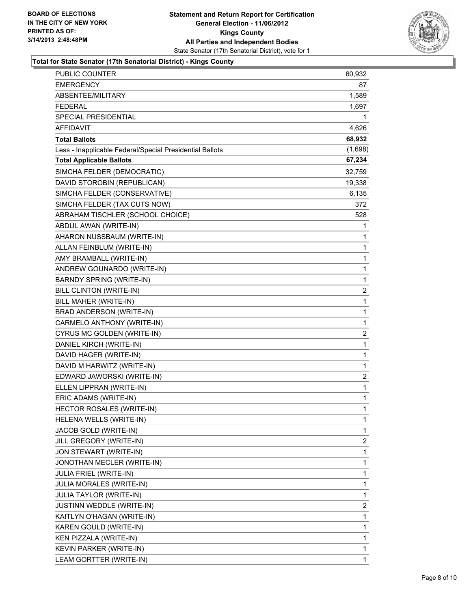

#### **Total for State Senator (17th Senatorial District) - Kings County**

| PUBLIC COUNTER                                           | 60,932         |
|----------------------------------------------------------|----------------|
| <b>EMERGENCY</b>                                         | 87             |
| ABSENTEE/MILITARY                                        | 1,589          |
| <b>FEDERAL</b>                                           | 1,697          |
| SPECIAL PRESIDENTIAL                                     | 1              |
| <b>AFFIDAVIT</b>                                         | 4,626          |
| <b>Total Ballots</b>                                     | 68,932         |
| Less - Inapplicable Federal/Special Presidential Ballots | (1,698)        |
| <b>Total Applicable Ballots</b>                          | 67,234         |
| SIMCHA FELDER (DEMOCRATIC)                               | 32,759         |
| DAVID STOROBIN (REPUBLICAN)                              | 19,338         |
| SIMCHA FELDER (CONSERVATIVE)                             | 6,135          |
| SIMCHA FELDER (TAX CUTS NOW)                             | 372            |
| ABRAHAM TISCHLER (SCHOOL CHOICE)                         | 528            |
| ABDUL AWAN (WRITE-IN)                                    | 1              |
| AHARON NUSSBAUM (WRITE-IN)                               | 1              |
| ALLAN FEINBLUM (WRITE-IN)                                | 1              |
| AMY BRAMBALL (WRITE-IN)                                  | 1              |
| ANDREW GOUNARDO (WRITE-IN)                               | 1              |
| <b>BARNDY SPRING (WRITE-IN)</b>                          | 1              |
| BILL CLINTON (WRITE-IN)                                  | 2              |
| BILL MAHER (WRITE-IN)                                    | 1              |
| BRAD ANDERSON (WRITE-IN)                                 | 1              |
| CARMELO ANTHONY (WRITE-IN)                               | 1              |
| CYRUS MC GOLDEN (WRITE-IN)                               | $\overline{c}$ |
| DANIEL KIRCH (WRITE-IN)                                  | 1              |
| DAVID HAGER (WRITE-IN)                                   | 1              |
| DAVID M HARWITZ (WRITE-IN)                               | 1              |
| EDWARD JAWORSKI (WRITE-IN)                               | $\overline{2}$ |
| ELLEN LIPPRAN (WRITE-IN)                                 | 1              |
| ERIC ADAMS (WRITE-IN)                                    | 1              |
| <b>HECTOR ROSALES (WRITE-IN)</b>                         | 1              |
| HELENA WELLS (WRITE-IN)                                  | 1              |
| JACOB GOLD (WRITE-IN)                                    | 1              |
| JILL GREGORY (WRITE-IN)                                  | $\overline{2}$ |
| JON STEWART (WRITE-IN)                                   | 1              |
| JONOTHAN MECLER (WRITE-IN)                               | 1              |
| <b>JULIA FRIEL (WRITE-IN)</b>                            | 1              |
| JULIA MORALES (WRITE-IN)                                 | 1              |
| <b>JULIA TAYLOR (WRITE-IN)</b>                           | 1              |
| JUSTINN WEDDLE (WRITE-IN)                                | $\overline{2}$ |
| KAITLYN O'HAGAN (WRITE-IN)                               | 1              |
| KAREN GOULD (WRITE-IN)                                   | 1              |
| KEN PIZZALA (WRITE-IN)                                   | 1              |
| KEVIN PARKER (WRITE-IN)                                  | 1              |
| LEAM GORTTER (WRITE-IN)                                  | 1              |
|                                                          |                |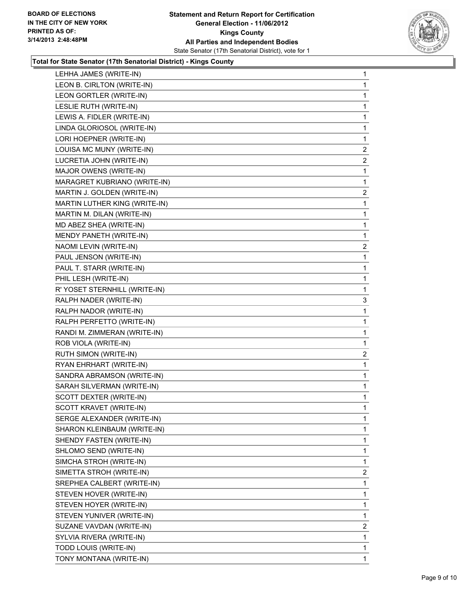

#### **Total for State Senator (17th Senatorial District) - Kings County**

| LEHHA JAMES (WRITE-IN)        | 1              |
|-------------------------------|----------------|
| LEON B. CIRLTON (WRITE-IN)    | 1              |
| LEON GORTLER (WRITE-IN)       | 1              |
| LESLIE RUTH (WRITE-IN)        | 1              |
| LEWIS A. FIDLER (WRITE-IN)    | 1              |
| LINDA GLORIOSOL (WRITE-IN)    | 1              |
| LORI HOEPNER (WRITE-IN)       | 1              |
| LOUISA MC MUNY (WRITE-IN)     | 2              |
| LUCRETIA JOHN (WRITE-IN)      | 2              |
| MAJOR OWENS (WRITE-IN)        | 1              |
| MARAGRET KUBRIANO (WRITE-IN)  | 1              |
| MARTIN J. GOLDEN (WRITE-IN)   | 2              |
| MARTIN LUTHER KING (WRITE-IN) | 1              |
| MARTIN M. DILAN (WRITE-IN)    | 1              |
| MD ABEZ SHEA (WRITE-IN)       | 1              |
| MENDY PANETH (WRITE-IN)       | 1              |
| NAOMI LEVIN (WRITE-IN)        | $\overline{c}$ |
| PAUL JENSON (WRITE-IN)        | 1              |
| PAUL T. STARR (WRITE-IN)      | 1              |
| PHIL LESH (WRITE-IN)          | 1              |
| R' YOSET STERNHILL (WRITE-IN) | 1              |
| RALPH NADER (WRITE-IN)        | 3              |
| RALPH NADOR (WRITE-IN)        | 1              |
| RALPH PERFETTO (WRITE-IN)     | 1              |
| RANDI M. ZIMMERAN (WRITE-IN)  | 1              |
| ROB VIOLA (WRITE-IN)          | 1              |
| RUTH SIMON (WRITE-IN)         | 2              |
| RYAN EHRHART (WRITE-IN)       | 1              |
| SANDRA ABRAMSON (WRITE-IN)    | 1              |
| SARAH SILVERMAN (WRITE-IN)    | 1              |
| SCOTT DEXTER (WRITE-IN)       | 1              |
| SCOTT KRAVET (WRITE-IN)       | $\mathbf{1}$   |
| SERGE ALEXANDER (WRITE-IN)    | 1              |
| SHARON KLEINBAUM (WRITE-IN)   | 1              |
| SHENDY FASTEN (WRITE-IN)      | 1              |
| SHLOMO SEND (WRITE-IN)        | 1              |
| SIMCHA STROH (WRITE-IN)       | 1              |
| SIMETTA STROH (WRITE-IN)      | 2              |
| SREPHEA CALBERT (WRITE-IN)    | 1              |
| STEVEN HOVER (WRITE-IN)       | 1              |
| STEVEN HOYER (WRITE-IN)       | 1              |
| STEVEN YUNIVER (WRITE-IN)     | 1              |
| SUZANE VAVDAN (WRITE-IN)      | 2              |
| SYLVIA RIVERA (WRITE-IN)      | 1              |
| TODD LOUIS (WRITE-IN)         | 1              |
| TONY MONTANA (WRITE-IN)       | 1.             |
|                               |                |